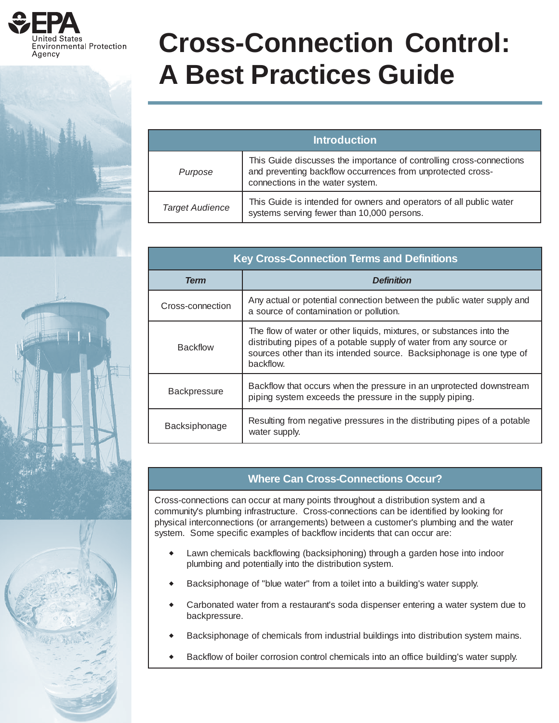

# **Cross-Connection Control: A Best Practices Guide**

| <b>Introduction</b>    |                                                                                                                                                                         |  |
|------------------------|-------------------------------------------------------------------------------------------------------------------------------------------------------------------------|--|
| Purpose                | This Guide discusses the importance of controlling cross-connections<br>and preventing backflow occurrences from unprotected cross-<br>connections in the water system. |  |
| <b>Target Audience</b> | This Guide is intended for owners and operators of all public water<br>systems serving fewer than 10,000 persons.                                                       |  |

| <b>Key Cross-Connection Terms and Definitions</b> |                                                                                                                                                                                                                                 |  |
|---------------------------------------------------|---------------------------------------------------------------------------------------------------------------------------------------------------------------------------------------------------------------------------------|--|
| <b>Term</b>                                       | <b>Definition</b>                                                                                                                                                                                                               |  |
| Cross-connection                                  | Any actual or potential connection between the public water supply and<br>a source of contamination or pollution.                                                                                                               |  |
| <b>Backflow</b>                                   | The flow of water or other liquids, mixtures, or substances into the<br>distributing pipes of a potable supply of water from any source or<br>sources other than its intended source. Backsiphonage is one type of<br>backflow. |  |
| <b>Backpressure</b>                               | Backflow that occurs when the pressure in an unprotected downstream<br>piping system exceeds the pressure in the supply piping.                                                                                                 |  |
| Backsiphonage                                     | Resulting from negative pressures in the distributing pipes of a potable<br>water supply.                                                                                                                                       |  |

# **Where Can Cross-Connections Occur?**

Cross-connections can occur at many points throughout a distribution system and a community's plumbing infrastructure. Cross-connections can be identified by looking for physical interconnections (or arrangements) between a customer's plumbing and the water system. Some specific examples of backflow incidents that can occur are:

- Lawn chemicals backflowing (backsiphoning) through a garden hose into indoor plumbing and potentially into the distribution system.
- Backsiphonage of "blue water" from a toilet into a building's water supply.
- Carbonated water from a restaurant's soda dispenser entering a water system due to backpressure.
- Backsiphonage of chemicals from industrial buildings into distribution system mains.
- Backflow of boiler corrosion control chemicals into an office building's water supply.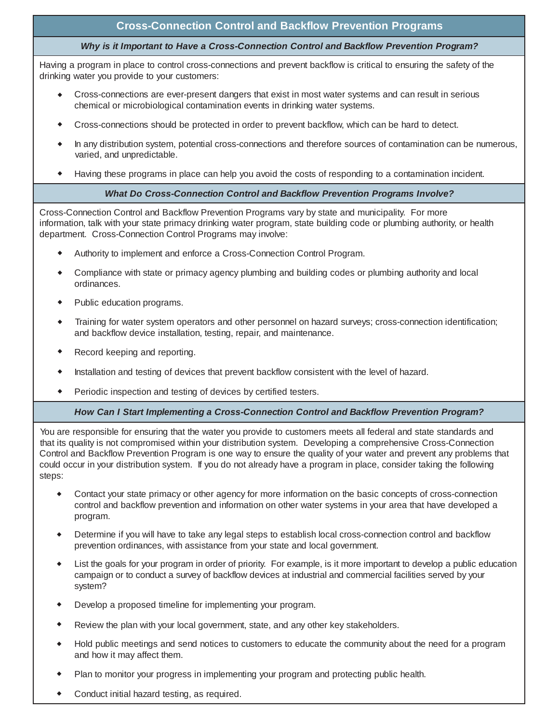## **Cross-Connection Control and Backflow Prevention Programs**

#### *Why is it Important to Have a Cross-Connection Control and Backflow Prevention Program?*

Having a program in place to control cross-connections and prevent backflow is critical to ensuring the safety of the drinking water you provide to your customers:

- Cross-connections are ever-present dangers that exist in most water systems and can result in serious chemical or microbiological contamination events in drinking water systems.
- Cross-connections should be protected in order to prevent backflow, which can be hard to detect.
- In any distribution system, potential cross-connections and therefore sources of contamination can be numerous, varied, and unpredictable.
- Having these programs in place can help you avoid the costs of responding to a contamination incident.

#### *What Do Cross-Connection Control and Backflow Prevention Programs Involve?*

Cross-Connection Control and Backflow Prevention Programs vary by state and municipality. For more information, talk with your state primacy drinking water program, state building code or plumbing authority, or health department. Cross-Connection Control Programs may involve:

- Authority to implement and enforce a Cross-Connection Control Program.
- Compliance with state or primacy agency plumbing and building codes or plumbing authority and local ordinances.
- Public education programs.
- Training for water system operators and other personnel on hazard surveys; cross-connection identification; and backflow device installation, testing, repair, and maintenance.
- Record keeping and reporting.
- Installation and testing of devices that prevent backflow consistent with the level of hazard.
- Periodic inspection and testing of devices by certified testers.

#### *How Can I Start Implementing a Cross-Connection Control and Backflow Prevention Program?*

You are responsible for ensuring that the water you provide to customers meets all federal and state standards and that its quality is not compromised within your distribution system. Developing a comprehensive Cross-Connection Control and Backflow Prevention Program is one way to ensure the quality of your water and prevent any problems that could occur in your distribution system. If you do not already have a program in place, consider taking the following steps:

- Contact your state primacy or other agency for more information on the basic concepts of cross-connection control and backflow prevention and information on other water systems in your area that have developed a program.
- Determine if you will have to take any legal steps to establish local cross-connection control and backflow prevention ordinances, with assistance from your state and local government.
- List the goals for your program in order of priority. For example, is it more important to develop a public education campaign or to conduct a survey of backflow devices at industrial and commercial facilities served by your system?
- Develop a proposed timeline for implementing your program.
- Review the plan with your local government, state, and any other key stakeholders.
- Hold public meetings and send notices to customers to educate the community about the need for a program and how it may affect them.
- Plan to monitor your progress in implementing your program and protecting public health.
- Conduct initial hazard testing, as required.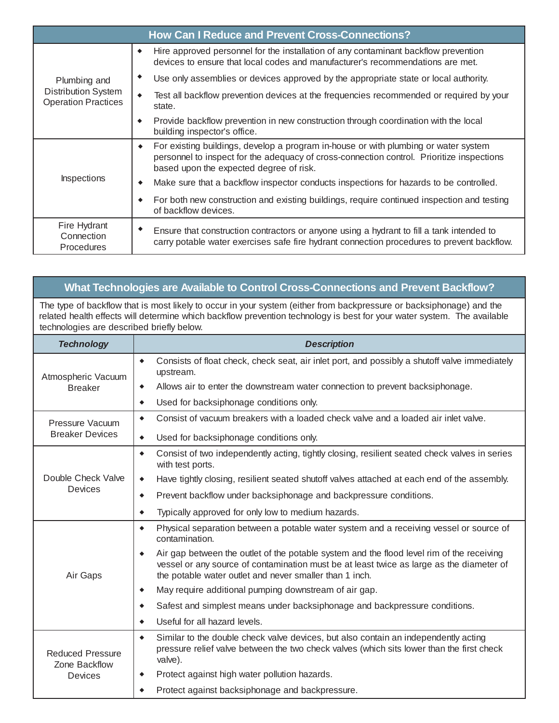| <b>How Can I Reduce and Prevent Cross-Connections?</b>                   |                                                                                                                                                                                                                                  |  |
|--------------------------------------------------------------------------|----------------------------------------------------------------------------------------------------------------------------------------------------------------------------------------------------------------------------------|--|
| Plumbing and<br><b>Distribution System</b><br><b>Operation Practices</b> | Hire approved personnel for the installation of any contaminant backflow prevention<br>٠<br>devices to ensure that local codes and manufacturer's recommendations are met.                                                       |  |
|                                                                          | Use only assemblies or devices approved by the appropriate state or local authority.                                                                                                                                             |  |
|                                                                          | Test all backflow prevention devices at the frequencies recommended or required by your<br>٠<br>state.                                                                                                                           |  |
|                                                                          | Provide backflow prevention in new construction through coordination with the local<br>٠<br>building inspector's office.                                                                                                         |  |
| Inspections                                                              | For existing buildings, develop a program in-house or with plumbing or water system<br>٠<br>personnel to inspect for the adequacy of cross-connection control. Prioritize inspections<br>based upon the expected degree of risk. |  |
|                                                                          | Make sure that a backflow inspector conducts inspections for hazards to be controlled.<br>٠                                                                                                                                      |  |
|                                                                          | For both new construction and existing buildings, require continued inspection and testing<br>of backflow devices.                                                                                                               |  |
| Fire Hydrant<br>Connection<br><b>Procedures</b>                          | Ensure that construction contractors or anyone using a hydrant to fill a tank intended to<br>carry potable water exercises safe fire hydrant connection procedures to prevent backflow.                                          |  |

## **What Technologies are Available to Control Cross-Connections and Prevent Backflow?**

The type of backflow that is most likely to occur in your system (either from backpressure or backsiphonage) and the related health effects will determine which backflow prevention technology is best for your water system. The available technologies are described briefly below.

| <b>Technology</b>                                   | <b>Description</b>                                                                                                                                                                                                                                            |
|-----------------------------------------------------|---------------------------------------------------------------------------------------------------------------------------------------------------------------------------------------------------------------------------------------------------------------|
| Atmospheric Vacuum<br><b>Breaker</b>                | Consists of float check, check seat, air inlet port, and possibly a shutoff valve immediately<br>$\blacklozenge$<br>upstream.                                                                                                                                 |
|                                                     | Allows air to enter the downstream water connection to prevent backsiphonage.<br>$\blacklozenge$                                                                                                                                                              |
|                                                     | Used for backsiphonage conditions only.<br>۰                                                                                                                                                                                                                  |
| Pressure Vacuum<br><b>Breaker Devices</b>           | Consist of vacuum breakers with a loaded check valve and a loaded air inlet valve.<br>$\bullet$                                                                                                                                                               |
|                                                     | Used for backsiphonage conditions only.<br>$\blacklozenge$                                                                                                                                                                                                    |
| Double Check Valve<br>Devices                       | Consist of two independently acting, tightly closing, resilient seated check valves in series<br>$\bullet$<br>with test ports.                                                                                                                                |
|                                                     | Have tightly closing, resilient seated shutoff valves attached at each end of the assembly.<br>$\blacklozenge$                                                                                                                                                |
|                                                     | Prevent backflow under backsiphonage and backpressure conditions.<br>۰                                                                                                                                                                                        |
|                                                     | Typically approved for only low to medium hazards.<br>۰                                                                                                                                                                                                       |
| Air Gaps                                            | Physical separation between a potable water system and a receiving vessel or source of<br>$\bullet$<br>contamination.                                                                                                                                         |
|                                                     | Air gap between the outlet of the potable system and the flood level rim of the receiving<br>$\bullet$<br>vessel or any source of contamination must be at least twice as large as the diameter of<br>the potable water outlet and never smaller than 1 inch. |
|                                                     | May require additional pumping downstream of air gap.<br>۰                                                                                                                                                                                                    |
|                                                     | Safest and simplest means under backsiphonage and backpressure conditions.<br>٠                                                                                                                                                                               |
|                                                     | Useful for all hazard levels.<br>٠                                                                                                                                                                                                                            |
| <b>Reduced Pressure</b><br>Zone Backflow<br>Devices | Similar to the double check valve devices, but also contain an independently acting<br>$\blacklozenge$<br>pressure relief valve between the two check valves (which sits lower than the first check<br>valve).                                                |
|                                                     | Protect against high water pollution hazards.<br>$\bullet$                                                                                                                                                                                                    |
|                                                     | Protect against backsiphonage and backpressure.<br>٠                                                                                                                                                                                                          |